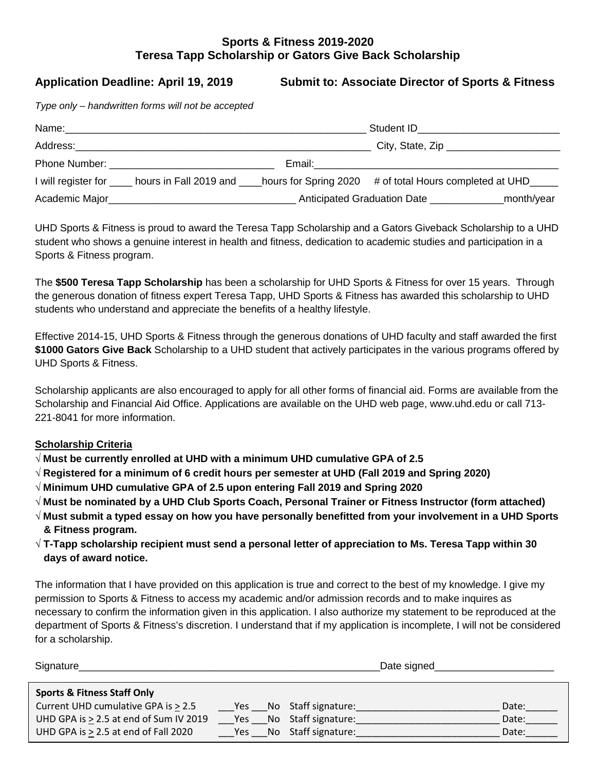## **Sports & Fitness 2019-2020 Teresa Tapp Scholarship or Gators Give Back Scholarship**

**Application Deadline: April 19, 2019 Submit to: Associate Director of Sports & Fitness**

*Type only – handwritten forms will not be accepted*

| Name:          |                                                                                                                                                                                                                                     | Student ID and the student of the student of the student of the student of the student of the student of the studies |                                                                                                              |  |
|----------------|-------------------------------------------------------------------------------------------------------------------------------------------------------------------------------------------------------------------------------------|----------------------------------------------------------------------------------------------------------------------|--------------------------------------------------------------------------------------------------------------|--|
|                | Address: Andreas Address: Address: Address: Address: Address: Address: Address: Address: Address: Address: Address: Address: Address: Address: Address: Address: Address: Address: Address: Address: Address: Address: Address      |                                                                                                                      |                                                                                                              |  |
|                | <b>Phone Number:</b> The Contract of the Contract of the Contract of the Contract of the Contract of the Contract of the Contract of the Contract of the Contract of the Contract of the Contract of the Contract of the Contract o |                                                                                                                      | Email: <u>___________________________</u>                                                                    |  |
|                |                                                                                                                                                                                                                                     |                                                                                                                      | I will register for same hours in Fall 2019 and same hours for Spring 2020 # of total Hours completed at UHD |  |
| Academic Major |                                                                                                                                                                                                                                     |                                                                                                                      | Anticipated Graduation Date<br>_month/year                                                                   |  |

UHD Sports & Fitness is proud to award the Teresa Tapp Scholarship and a Gators Giveback Scholarship to a UHD student who shows a genuine interest in health and fitness, dedication to academic studies and participation in a Sports & Fitness program.

The **\$500 Teresa Tapp Scholarship** has been a scholarship for UHD Sports & Fitness for over 15 years. Through the generous donation of fitness expert Teresa Tapp, UHD Sports & Fitness has awarded this scholarship to UHD students who understand and appreciate the benefits of a healthy lifestyle.

Effective 2014-15, UHD Sports & Fitness through the generous donations of UHD faculty and staff awarded the first **\$1000 Gators Give Back** Scholarship to a UHD student that actively participates in the various programs offered by UHD Sports & Fitness.

Scholarship applicants are also encouraged to apply for all other forms of financial aid. Forms are available from the Scholarship and Financial Aid Office. Applications are available on the UHD web page, www.uhd.edu or call 713- 221-8041 for more information.

### **Scholarship Criteria**

√ **Must be currently enrolled at UHD with a minimum UHD cumulative GPA of 2.5**

- √ **Registered for a minimum of 6 credit hours per semester at UHD (Fall 2019 and Spring 2020)**
- √ **Minimum UHD cumulative GPA of 2.5 upon entering Fall 2019 and Spring 2020**
- √ **Must be nominated by a UHD Club Sports Coach, Personal Trainer or Fitness Instructor (form attached)**
- √ **Must submit a typed essay on how you have personally benefitted from your involvement in a UHD Sports & Fitness program.**
- √ **T-Tapp scholarship recipient must send a personal letter of appreciation to Ms. Teresa Tapp within 30 days of award notice.**

The information that I have provided on this application is true and correct to the best of my knowledge. I give my permission to Sports & Fitness to access my academic and/or admission records and to make inquires as necessary to confirm the information given in this application. I also authorize my statement to be reproduced at the department of Sports & Fitness's discretion. I understand that if my application is incomplete, I will not be considered for a scholarship.

| Signature                                 |     |                         | Date signed |       |
|-------------------------------------------|-----|-------------------------|-------------|-------|
| <b>Sports &amp; Fitness Staff Only</b>    |     |                         |             |       |
| Current UHD cumulative GPA is > 2.5       |     | Yes No Staff signature: |             | Date: |
| UHD GPA is > 2.5 at end of Sum IV 2019    | Yes | No Staff signature:     |             | Date: |
| UHD GPA is $\geq$ 2.5 at end of Fall 2020 | Yes | No Staff signature:     |             | Date: |
|                                           |     |                         |             |       |